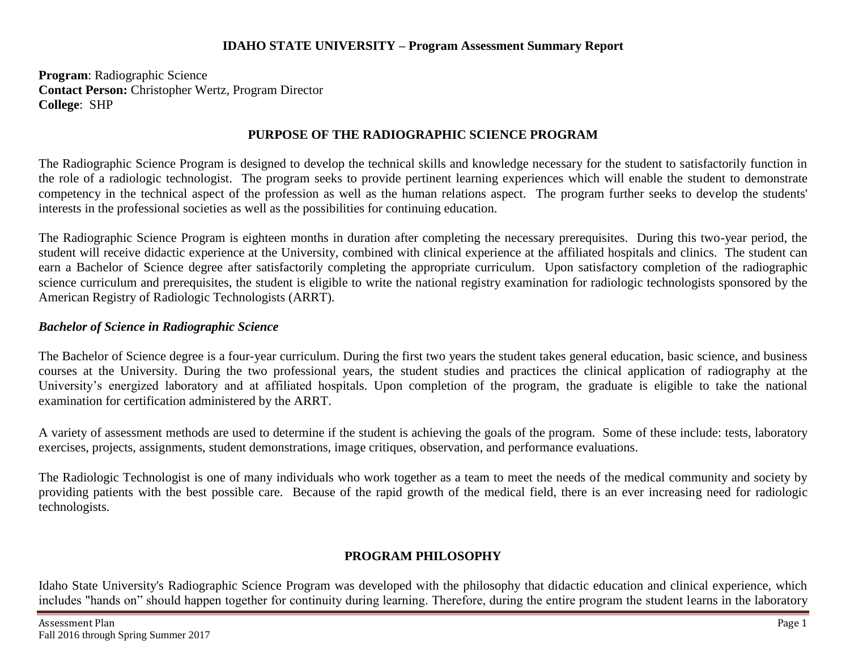#### **IDAHO STATE UNIVERSITY – Program Assessment Summary Report**

**Program**: Radiographic Science **Contact Person:** Christopher Wertz, Program Director **College**: SHP

## **PURPOSE OF THE RADIOGRAPHIC SCIENCE PROGRAM**

The Radiographic Science Program is designed to develop the technical skills and knowledge necessary for the student to satisfactorily function in the role of a radiologic technologist. The program seeks to provide pertinent learning experiences which will enable the student to demonstrate competency in the technical aspect of the profession as well as the human relations aspect. The program further seeks to develop the students' interests in the professional societies as well as the possibilities for continuing education.

The Radiographic Science Program is eighteen months in duration after completing the necessary prerequisites. During this two-year period, the student will receive didactic experience at the University, combined with clinical experience at the affiliated hospitals and clinics. The student can earn a Bachelor of Science degree after satisfactorily completing the appropriate curriculum. Upon satisfactory completion of the radiographic science curriculum and prerequisites, the student is eligible to write the national registry examination for radiologic technologists sponsored by the American Registry of Radiologic Technologists (ARRT).

### *Bachelor of Science in Radiographic Science*

The Bachelor of Science degree is a four-year curriculum. During the first two years the student takes general education, basic science, and business courses at the University. During the two professional years, the student studies and practices the clinical application of radiography at the University's energized laboratory and at affiliated hospitals. Upon completion of the program, the graduate is eligible to take the national examination for certification administered by the ARRT.

A variety of assessment methods are used to determine if the student is achieving the goals of the program. Some of these include: tests, laboratory exercises, projects, assignments, student demonstrations, image critiques, observation, and performance evaluations.

The Radiologic Technologist is one of many individuals who work together as a team to meet the needs of the medical community and society by providing patients with the best possible care. Because of the rapid growth of the medical field, there is an ever increasing need for radiologic technologists.

## **PROGRAM PHILOSOPHY**

Idaho State University's Radiographic Science Program was developed with the philosophy that didactic education and clinical experience, which includes "hands on" should happen together for continuity during learning. Therefore, during the entire program the student learns in the laboratory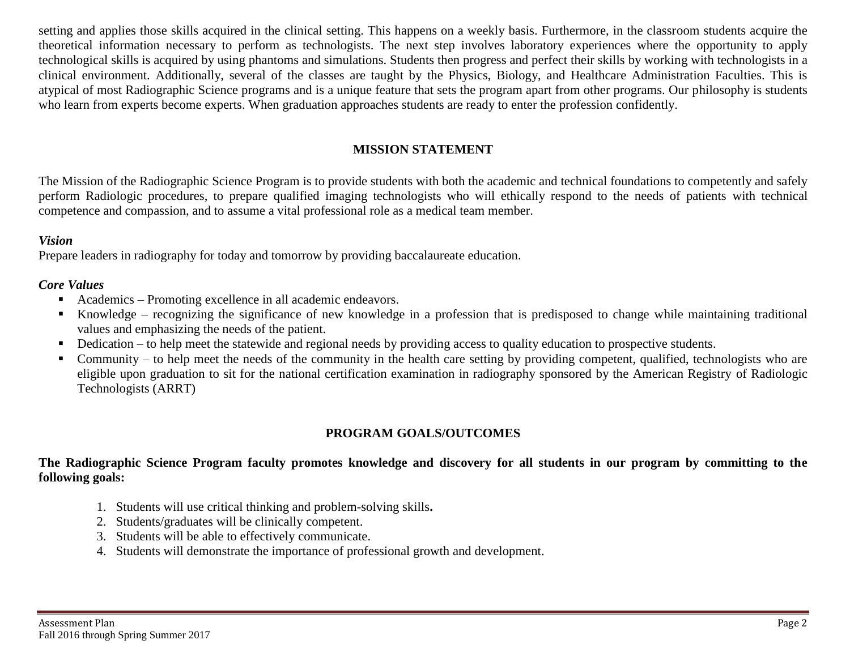setting and applies those skills acquired in the clinical setting. This happens on a weekly basis. Furthermore, in the classroom students acquire the theoretical information necessary to perform as technologists. The next step involves laboratory experiences where the opportunity to apply technological skills is acquired by using phantoms and simulations. Students then progress and perfect their skills by working with technologists in a clinical environment. Additionally, several of the classes are taught by the Physics, Biology, and Healthcare Administration Faculties. This is atypical of most Radiographic Science programs and is a unique feature that sets the program apart from other programs. Our philosophy is students who learn from experts become experts. When graduation approaches students are ready to enter the profession confidently.

## **MISSION STATEMENT**

The Mission of the Radiographic Science Program is to provide students with both the academic and technical foundations to competently and safely perform Radiologic procedures, to prepare qualified imaging technologists who will ethically respond to the needs of patients with technical competence and compassion, and to assume a vital professional role as a medical team member.

#### *Vision*

Prepare leaders in radiography for today and tomorrow by providing baccalaureate education.

#### *Core Values*

- Academics Promoting excellence in all academic endeavors.
- Knowledge recognizing the significance of new knowledge in a profession that is predisposed to change while maintaining traditional values and emphasizing the needs of the patient.
- Dedication to help meet the statewide and regional needs by providing access to quality education to prospective students.
- Community to help meet the needs of the community in the health care setting by providing competent, qualified, technologists who are eligible upon graduation to sit for the national certification examination in radiography sponsored by the American Registry of Radiologic Technologists (ARRT)

## **PROGRAM GOALS/OUTCOMES**

#### **The Radiographic Science Program faculty promotes knowledge and discovery for all students in our program by committing to the following goals:**

- 1. Students will use critical thinking and problem-solving skills**.**
- 2. Students/graduates will be clinically competent.
- 3. Students will be able to effectively communicate.
- 4. Students will demonstrate the importance of professional growth and development.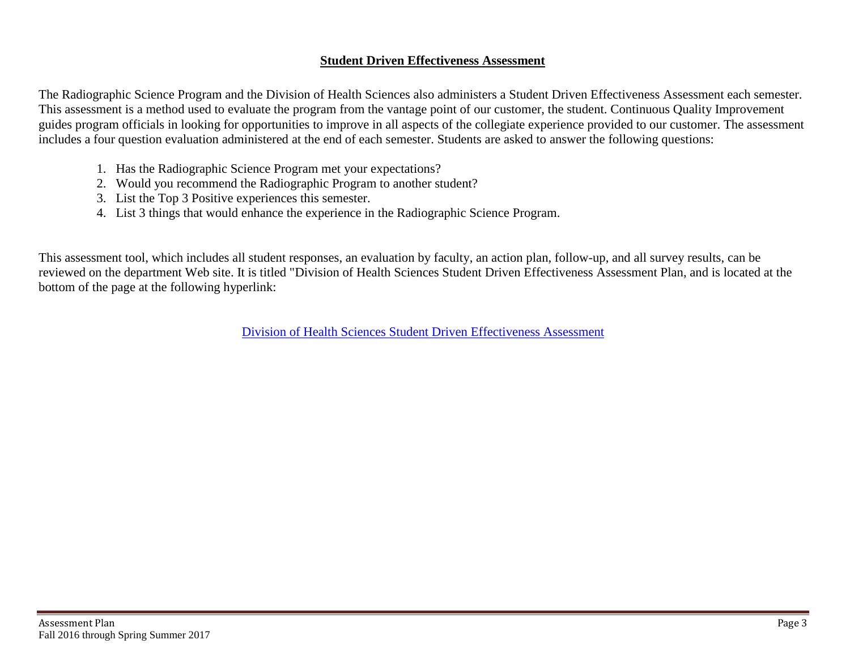#### **Student Driven Effectiveness Assessment**

The Radiographic Science Program and the Division of Health Sciences also administers a Student Driven Effectiveness Assessment each semester. This assessment is a method used to evaluate the program from the vantage point of our customer, the student. Continuous Quality Improvement guides program officials in looking for opportunities to improve in all aspects of the collegiate experience provided to our customer. The assessment includes a four question evaluation administered at the end of each semester. Students are asked to answer the following questions:

- 1. Has the Radiographic Science Program met your expectations?
- 2. Would you recommend the Radiographic Program to another student?
- 3. List the Top 3 Positive experiences this semester.
- 4. List 3 things that would enhance the experience in the Radiographic Science Program.

This assessment tool, which includes all student responses, an evaluation by faculty, an action plan, follow-up, and all survey results, can be reviewed on the department Web site. It is titled "Division of Health Sciences Student Driven Effectiveness Assessment Plan, and is located at the bottom of the page at the following hyperlink:

[Division of Health Sciences Student Driven Effectiveness](http://www.isu.edu/radsci/admindata.shtml) Assessment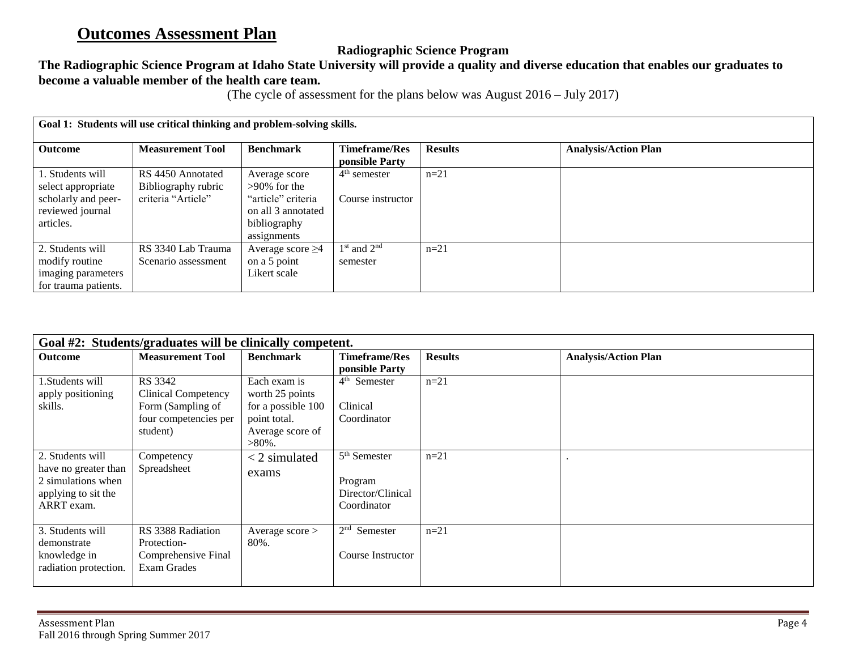# **Outcomes Assessment Plan**

# **Radiographic Science Program**

# **The Radiographic Science Program at Idaho State University will provide a quality and diverse education that enables our graduates to become a valuable member of the health care team.**

(The cycle of assessment for the plans below was August 2016 – July 2017)

| Goal 1: Students will use critical thinking and problem-solving skills. |                                          |                                                                         |                                        |                |                             |  |
|-------------------------------------------------------------------------|------------------------------------------|-------------------------------------------------------------------------|----------------------------------------|----------------|-----------------------------|--|
| <b>Outcome</b>                                                          | <b>Measurement Tool</b>                  | <b>Benchmark</b>                                                        | <b>Timeframe/Res</b><br>ponsible Party | <b>Results</b> | <b>Analysis/Action Plan</b> |  |
| 1. Students will<br>select appropriate                                  | RS 4450 Annotated<br>Bibliography rubric | Average score<br>$>90\%$ for the                                        | $4th$ semester                         | $n=21$         |                             |  |
| scholarly and peer-<br>reviewed journal<br>articles.                    | criteria "Article"                       | "article" criteria<br>on all 3 annotated<br>bibliography<br>assignments | Course instructor                      |                |                             |  |
| 2. Students will                                                        | RS 3340 Lab Trauma                       | Average score $\geq$ 4                                                  | $1st$ and $2nd$                        | $n=21$         |                             |  |
| modify routine                                                          | Scenario assessment                      | on a 5 point                                                            | semester                               |                |                             |  |
| imaging parameters                                                      |                                          | Likert scale                                                            |                                        |                |                             |  |
| for trauma patients.                                                    |                                          |                                                                         |                                        |                |                             |  |

| Goal #2: Students/graduates will be clinically competent.                                           |                                                                                                 |                                                                                                        |                                                                         |                |                             |
|-----------------------------------------------------------------------------------------------------|-------------------------------------------------------------------------------------------------|--------------------------------------------------------------------------------------------------------|-------------------------------------------------------------------------|----------------|-----------------------------|
| <b>Outcome</b>                                                                                      | <b>Measurement Tool</b>                                                                         | <b>Benchmark</b>                                                                                       | <b>Timeframe/Res</b><br>ponsible Party                                  | <b>Results</b> | <b>Analysis/Action Plan</b> |
| 1. Students will<br>apply positioning<br>skills.                                                    | RS 3342<br><b>Clinical Competency</b><br>Form (Sampling of<br>four competencies per<br>student) | Each exam is<br>worth 25 points<br>for a possible 100<br>point total.<br>Average score of<br>$>80\%$ . | 4 <sup>th</sup> Semester<br>Clinical<br>Coordinator                     | $n=21$         |                             |
| 2. Students will<br>have no greater than<br>2 simulations when<br>applying to sit the<br>ARRT exam. | Competency<br>Spreadsheet                                                                       | $<$ 2 simulated<br>exams                                                                               | 5 <sup>th</sup> Semester<br>Program<br>Director/Clinical<br>Coordinator | $n=21$         |                             |
| 3. Students will<br>demonstrate<br>knowledge in<br>radiation protection.                            | RS 3388 Radiation<br>Protection-<br>Comprehensive Final<br>Exam Grades                          | Average $score$<br>80%.                                                                                | $2nd$ Semester<br>Course Instructor                                     | $n=21$         |                             |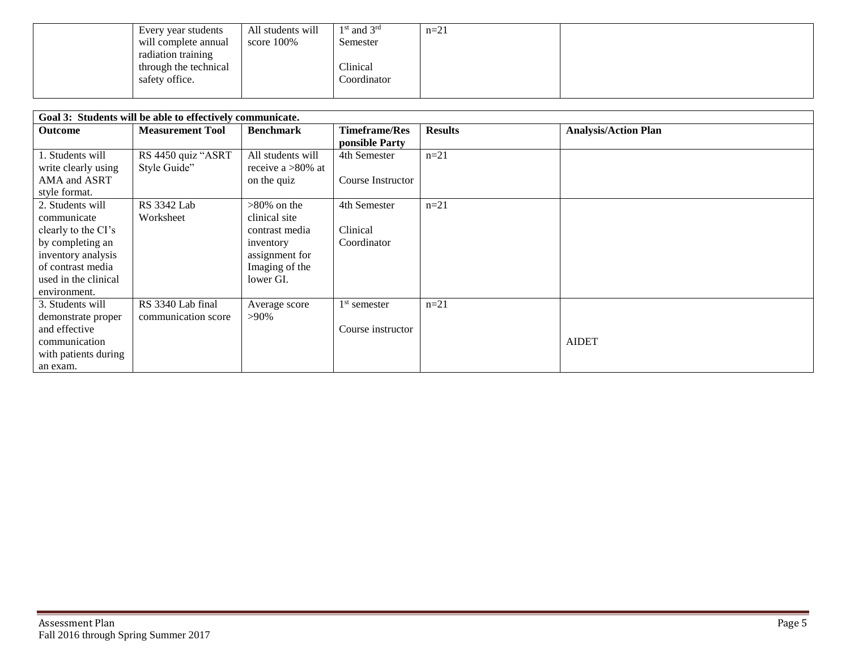| Every year students   | All students will | $1st$ and $3rd$ | $n=21$ |  |
|-----------------------|-------------------|-----------------|--------|--|
| will complete annual  | score 100%        | Semester        |        |  |
| radiation training    |                   |                 |        |  |
| through the technical |                   | Clinical        |        |  |
| safety office.        |                   | Coordinator     |        |  |
|                       |                   |                 |        |  |

| Goal 3: Students will be able to effectively communicate.                                                                                                     |                                          |                                                                                                                 |                                         |                |                             |  |
|---------------------------------------------------------------------------------------------------------------------------------------------------------------|------------------------------------------|-----------------------------------------------------------------------------------------------------------------|-----------------------------------------|----------------|-----------------------------|--|
| <b>Outcome</b>                                                                                                                                                | <b>Measurement Tool</b>                  | <b>Benchmark</b>                                                                                                | <b>Timeframe/Res</b><br>ponsible Party  | <b>Results</b> | <b>Analysis/Action Plan</b> |  |
| 1. Students will<br>write clearly using<br>AMA and ASRT<br>style format.                                                                                      | RS 4450 quiz "ASRT<br>Style Guide"       | All students will<br>receive a $>80\%$ at<br>on the quiz                                                        | 4th Semester<br>Course Instructor       | $n=21$         |                             |  |
| 2. Students will<br>communicate<br>clearly to the CI's<br>by completing an<br>inventory analysis<br>of contrast media<br>used in the clinical<br>environment. | <b>RS</b> 3342 Lab<br>Worksheet          | $>80\%$ on the<br>clinical site<br>contrast media<br>inventory<br>assignment for<br>Imaging of the<br>lower GI. | 4th Semester<br>Clinical<br>Coordinator | $n=21$         |                             |  |
| 3. Students will<br>demonstrate proper<br>and effective<br>communication<br>with patients during<br>an exam.                                                  | RS 3340 Lab final<br>communication score | Average score<br>$>90\%$                                                                                        | $1st$ semester<br>Course instructor     | $n=21$         | <b>AIDET</b>                |  |

E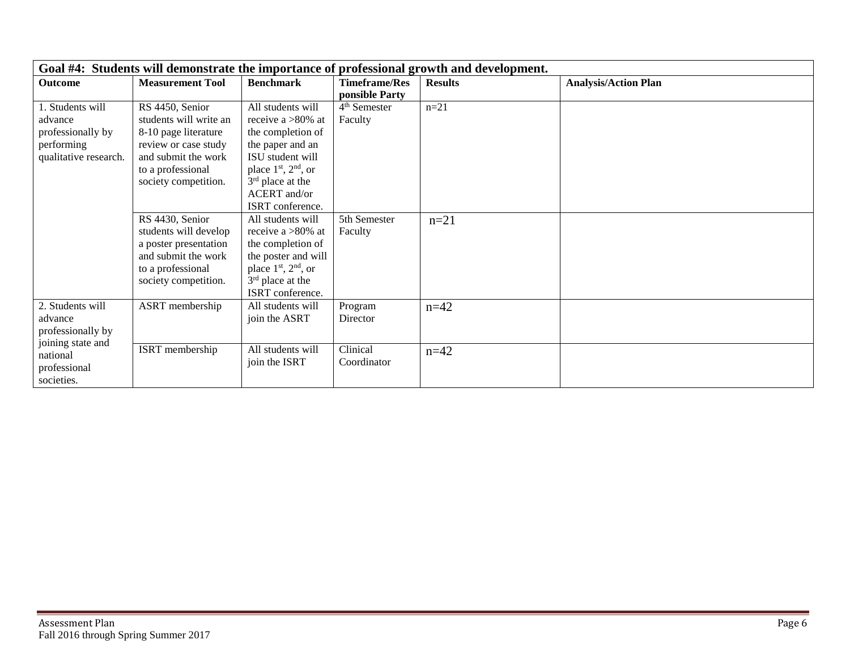| Goal #4: Students will demonstrate the importance of professional growth and development. |                         |                          |                          |                |                             |  |
|-------------------------------------------------------------------------------------------|-------------------------|--------------------------|--------------------------|----------------|-----------------------------|--|
| Outcome                                                                                   | <b>Measurement Tool</b> | <b>Benchmark</b>         | <b>Timeframe/Res</b>     | <b>Results</b> | <b>Analysis/Action Plan</b> |  |
|                                                                                           |                         |                          | ponsible Party           |                |                             |  |
| 1. Students will                                                                          | RS 4450, Senior         | All students will        | 4 <sup>th</sup> Semester | $n = 21$       |                             |  |
| advance                                                                                   | students will write an  | receive a $>80\%$ at     | Faculty                  |                |                             |  |
| professionally by                                                                         | 8-10 page literature    | the completion of        |                          |                |                             |  |
| performing                                                                                | review or case study    | the paper and an         |                          |                |                             |  |
| qualitative research.                                                                     | and submit the work     | ISU student will         |                          |                |                             |  |
|                                                                                           | to a professional       | place $1st$ , $2nd$ , or |                          |                |                             |  |
|                                                                                           | society competition.    | $3rd$ place at the       |                          |                |                             |  |
|                                                                                           |                         | <b>ACERT</b> and/or      |                          |                |                             |  |
|                                                                                           |                         | ISRT conference.         |                          |                |                             |  |
|                                                                                           | RS 4430, Senior         | All students will        | 5th Semester             | $n=21$         |                             |  |
|                                                                                           | students will develop   | receive a $>80\%$ at     | Faculty                  |                |                             |  |
|                                                                                           | a poster presentation   | the completion of        |                          |                |                             |  |
|                                                                                           | and submit the work     | the poster and will      |                          |                |                             |  |
|                                                                                           | to a professional       | place $1st$ , $2nd$ , or |                          |                |                             |  |
|                                                                                           | society competition.    | $3rd$ place at the       |                          |                |                             |  |
|                                                                                           |                         | ISRT conference.         |                          |                |                             |  |
| 2. Students will                                                                          | ASRT membership         | All students will        | Program                  | $n = 42$       |                             |  |
| advance                                                                                   |                         | join the ASRT            | Director                 |                |                             |  |
| professionally by                                                                         |                         |                          |                          |                |                             |  |
| joining state and                                                                         | ISRT membership         | All students will        | Clinical                 |                |                             |  |
| national                                                                                  |                         | join the ISRT            | Coordinator              | $n = 42$       |                             |  |
| professional                                                                              |                         |                          |                          |                |                             |  |
| societies.                                                                                |                         |                          |                          |                |                             |  |

T.